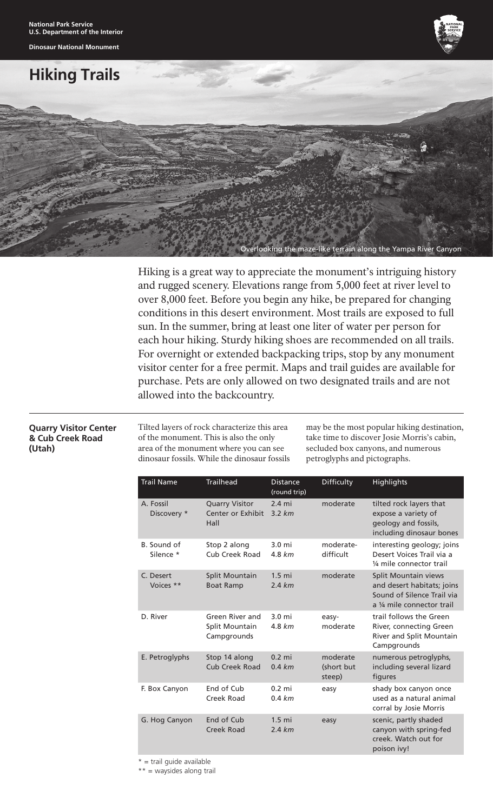**Dinosaur National Monument**



# **Hiking Trails**



Hiking is a great way to appreciate the monument's intriguing history and rugged scenery. Elevations range from 5,000 feet at river level to over 8,000 feet. Before you begin any hike, be prepared for changing conditions in this desert environment. Most trails are exposed to full sun. In the summer, bring at least one liter of water per person for each hour hiking. Sturdy hiking shoes are recommended on all trails. For overnight or extended backpacking trips, stop by any monument visitor center for a free permit. Maps and trail guides are available for purchase. Pets are only allowed on two designated trails and are not allowed into the backcountry.

### **Quarry Visitor Center & Cub Creek Road (Utah)**

Tilted layers of rock characterize this area of the monument. This is also the only area of the monument where you can see dinosaur fossils. While the dinosaur fossils may be the most popular hiking destination, take time to discover Josie Morris's cabin, secluded box canyons, and numerous petroglyphs and pictographs.

| <b>Trail Name</b>        | <b>Trailhead</b>                                   | <b>Distance</b><br>(round trip) | Difficulty                       | <b>Highlights</b>                                                                                              |
|--------------------------|----------------------------------------------------|---------------------------------|----------------------------------|----------------------------------------------------------------------------------------------------------------|
| A. Fossil<br>Discovery * | <b>Quarry Visitor</b><br>Center or Exhibit<br>Hall | $2.4 \text{ mi}$<br>3.2 km      | moderate                         | tilted rock layers that<br>expose a variety of<br>geology and fossils,<br>including dinosaur bones             |
| B. Sound of<br>Silence * | Stop 2 along<br>Cub Creek Road                     | $3.0 \text{ mi}$<br>4.8 km      | moderate-<br>difficult           | interesting geology; joins<br>Desert Voices Trail via a<br>1/4 mile connector trail                            |
| C. Desert<br>Voices **   | Split Mountain<br><b>Boat Ramp</b>                 | $1.5$ mi<br>2.4 km              | moderate                         | Split Mountain views<br>and desert habitats; joins<br>Sound of Silence Trail via<br>a 1/4 mile connector trail |
| D. River                 | Green River and<br>Split Mountain<br>Campgrounds   | $3.0 \text{ mi}$<br>4.8 km      | easy-<br>moderate                | trail follows the Green<br>River, connecting Green<br>River and Split Mountain<br>Campgrounds                  |
| E. Petroglyphs           | Stop 14 along<br><b>Cub Creek Road</b>             | $0.2 \text{ mi}$<br>0.4 km      | moderate<br>(short but<br>steep) | numerous petroglyphs,<br>including several lizard<br>figures                                                   |
| F. Box Canyon            | End of Cub<br>Creek Road                           | $0.2 \text{ mi}$<br>0.4 km      | easy                             | shady box canyon once<br>used as a natural animal<br>corral by Josie Morris                                    |
| G. Hog Canyon            | End of Cub<br>Creek Road                           | $1.5$ mi<br>2.4 km              | easy                             | scenic, partly shaded<br>canyon with spring-fed<br>creek. Watch out for<br>poison ivy!                         |

 $*$  = trail guide available

\*\* = waysides along trail